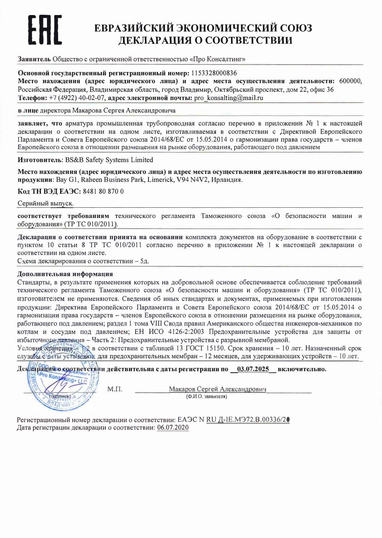# ЕВРАЗИЙСКИЙ ЭКОНОМИЧЕСКИЙ СОЮЗ ДЕКЛАРАЦИЯ О СООТВЕТСТВИИ

#### Заявитель Общество с ограниченной ответственностью «Про Консалтинг»

### Основной государственный регистрационный номер: 1153328000836

Место нахождения (адрес юридического лица) и адрес места осуществления деятельности: 600000, Российская Фелерация, Влалимирская область, город Влалимир, Октябрьский проспект, дом 22, офис 36 Телефон: +7 (4922) 40-02-07, адрес электронной почты: pro konsalting@mail.ru

#### в лице директора Макарова Сергея Александровича

заявляет, что арматура промышленная трубопроводная согласно перечню в приложении № 1 к настоящей декларации о соответствии на одном листе, изготавливаемая в соответствии с Директивой Европейского Парламента и Совета Европейского союза 2014/68/ЕС от 15.05.2014 о гармонизации права государств - членов Европейского союза в отношении размещения на рынке оборудования, работающего под давлением

Изготовитель: BS&B Safety Systems Limited

Место нахождения (адрес юридического лица) и адрес места осуществления деятельности по изготовлению продукции: Bay G1, Raheen Business Park, Limerick, V94 N4V2, Ирландия.

Кол ТН ВЭЛ ЕАЭС: 8481 80 870 0

Серийный выпуск.

соответствует требованиям технического регламента Таможенного союза «О безопасности машин и оборудования» (ТР ТС 010/2011).

Декларация о соответствии приията на основании комплекта документов на оборудование в соответствии с пунктом 10 статьи 8 ТР ТС 010/2011 согласно перечню в приложении № 1 к настоящей декларации о соответствии на одном листе.

Схема декларирования о соответствии - 5д.

#### Дополиительиая информация

Стандарты, в результате применения которых на добровольной основе обеспечивается соблюдение требований технического регламента Таможенного союза «О безопасности машин и оборудования» (ТР ТС 010/2011), изготовителем не применяются. Сведения об иных стандартах и документах, применяемых при изготовлении продукции: Директива Европейского Парламента и Совета Европейского союза 2014/68/ЕС от 15.05.2014 о гармонизации права государств - членов Европейского союза в отношении размещения на рынке оборудования, работающего под давлением; раздел 1 тома VIII Свода правил Американского общества инженеров-механиков по котлам и сосудам под давлением; ЕН ИСО 4126-2:2003 Предохранительные устройства для защиты от избыточного лавления - Часть 2: Предохранительные устройства с разрывной мембраной.

Условия жранения В соответствии с таблицей 13 ГОСТ 15150. Срок хранения - 10 лет. Назначенный срок службы с чаты установки, для предохранительных мембран - 12 месяцев, для удерживающих устройств - 10 лет.

#### Декларация о соответствии действительиа с даты регистрации по 03.07.2025 включительно. **O** Kow mg» LLC  $M.T.$ Макаров Сергей Александрович  $(D, M, O)$  заявителя) (посяннеь) BAARMM

Регистрационный номер декларации о соответствии: EAЭC N RU Д-IE.MЭ72.B.00336/2● Дата регистрации декларации о соответствии: 06.07.2020